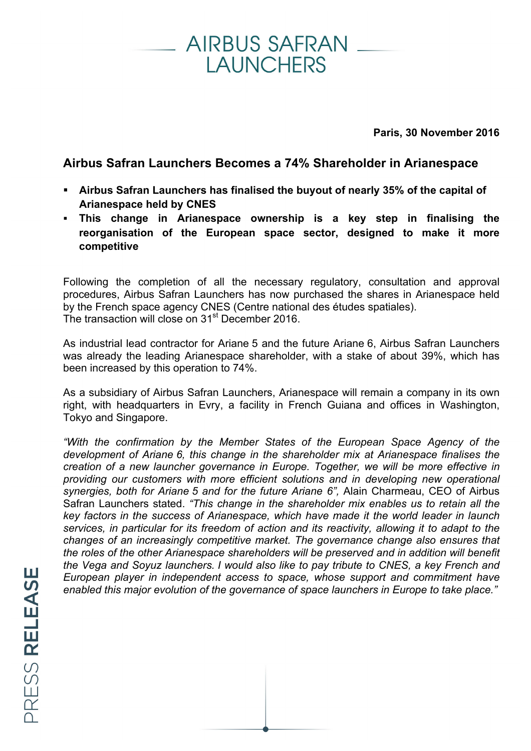## AIRBUS SAFRAN **I AUNCHERS**

**Paris, 30 November 2016**

## **Airbus Safran Launchers Becomes a 74% Shareholder in Arianespace**

- § **Airbus Safran Launchers has finalised the buyout of nearly 35% of the capital of Arianespace held by CNES**
- § **This change in Arianespace ownership is a key step in finalising the reorganisation of the European space sector, designed to make it more competitive**

Following the completion of all the necessary regulatory, consultation and approval procedures, Airbus Safran Launchers has now purchased the shares in Arianespace held by the French space agency CNES (Centre national des études spatiales). The transaction will close on 31<sup>st</sup> December 2016.

As industrial lead contractor for Ariane 5 and the future Ariane 6, Airbus Safran Launchers was already the leading Arianespace shareholder, with a stake of about 39%, which has been increased by this operation to 74%.

As a subsidiary of Airbus Safran Launchers, Arianespace will remain a company in its own right, with headquarters in Evry, a facility in French Guiana and offices in Washington, Tokyo and Singapore.

*"With the confirmation by the Member States of the European Space Agency of the development of Ariane 6, this change in the shareholder mix at Arianespace finalises the creation of a new launcher governance in Europe. Together, we will be more effective in providing our customers with more efficient solutions and in developing new operational synergies, both for Ariane 5 and for the future Ariane 6",* Alain Charmeau, CEO of Airbus Safran Launchers stated. *"This change in the shareholder mix enables us to retain all the key factors in the success of Arianespace, which have made it the world leader in launch services, in particular for its freedom of action and its reactivity, allowing it to adapt to the changes of an increasingly competitive market. The governance change also ensures that the roles of the other Arianespace shareholders will be preserved and in addition will benefit the Vega and Soyuz launchers. I would also like to pay tribute to CNES, a key French and European player in independent access to space, whose support and commitment have enabled this major evolution of the governance of space launchers in Europe to take place."*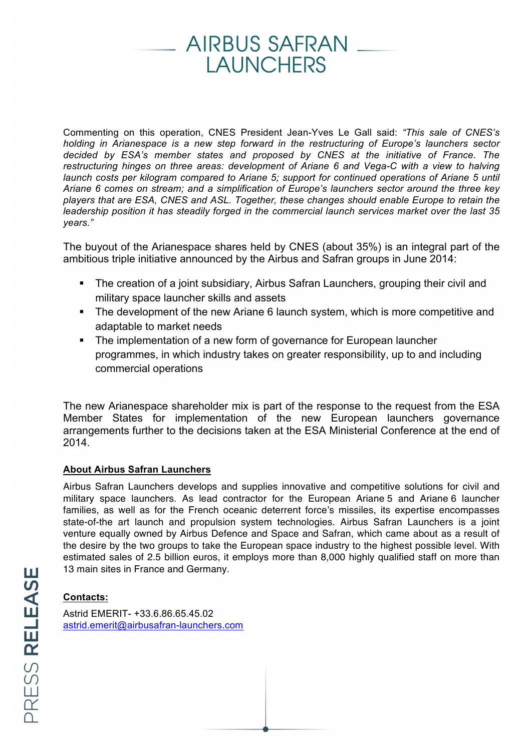# AIRBUS SAFRAN **I AUNCHERS**

Commenting on this operation, CNES President Jean-Yves Le Gall said: *"This sale of CNES's holding in Arianespace is a new step forward in the restructuring of Europe's launchers sector decided by ESA's member states and proposed by CNES at the initiative of France. The restructuring hinges on three areas: development of Ariane 6 and Vega-C with a view to halving launch costs per kilogram compared to Ariane 5; support for continued operations of Ariane 5 until Ariane 6 comes on stream; and a simplification of Europe's launchers sector around the three key players that are ESA, CNES and ASL. Together, these changes should enable Europe to retain the leadership position it has steadily forged in the commercial launch services market over the last 35 years."*

The buyout of the Arianespace shares held by CNES (about 35%) is an integral part of the ambitious triple initiative announced by the Airbus and Safran groups in June 2014:

- The creation of a joint subsidiary, Airbus Safran Launchers, grouping their civil and military space launcher skills and assets
- The development of the new Ariane 6 launch system, which is more competitive and adaptable to market needs
- The implementation of a new form of governance for European launcher programmes, in which industry takes on greater responsibility, up to and including commercial operations

The new Arianespace shareholder mix is part of the response to the request from the ESA Member States for implementation of the new European launchers governance arrangements further to the decisions taken at the ESA Ministerial Conference at the end of 2014.

#### **About Airbus Safran Launchers**

Airbus Safran Launchers develops and supplies innovative and competitive solutions for civil and military space launchers. As lead contractor for the European Ariane 5 and Ariane 6 launcher families, as well as for the French oceanic deterrent force's missiles, its expertise encompasses state-of-the art launch and propulsion system technologies. Airbus Safran Launchers is a joint venture equally owned by Airbus Defence and Space and Safran, which came about as a result of the desire by the two groups to take the European space industry to the highest possible level. With estimated sales of 2.5 billion euros, it employs more than 8,000 highly qualified staff on more than 13 main sites in France and Germany.

#### **Contacts:**

Astrid EMERIT- +33.6.86.65.45.02 astrid.emerit@airbusafran-launchers.com